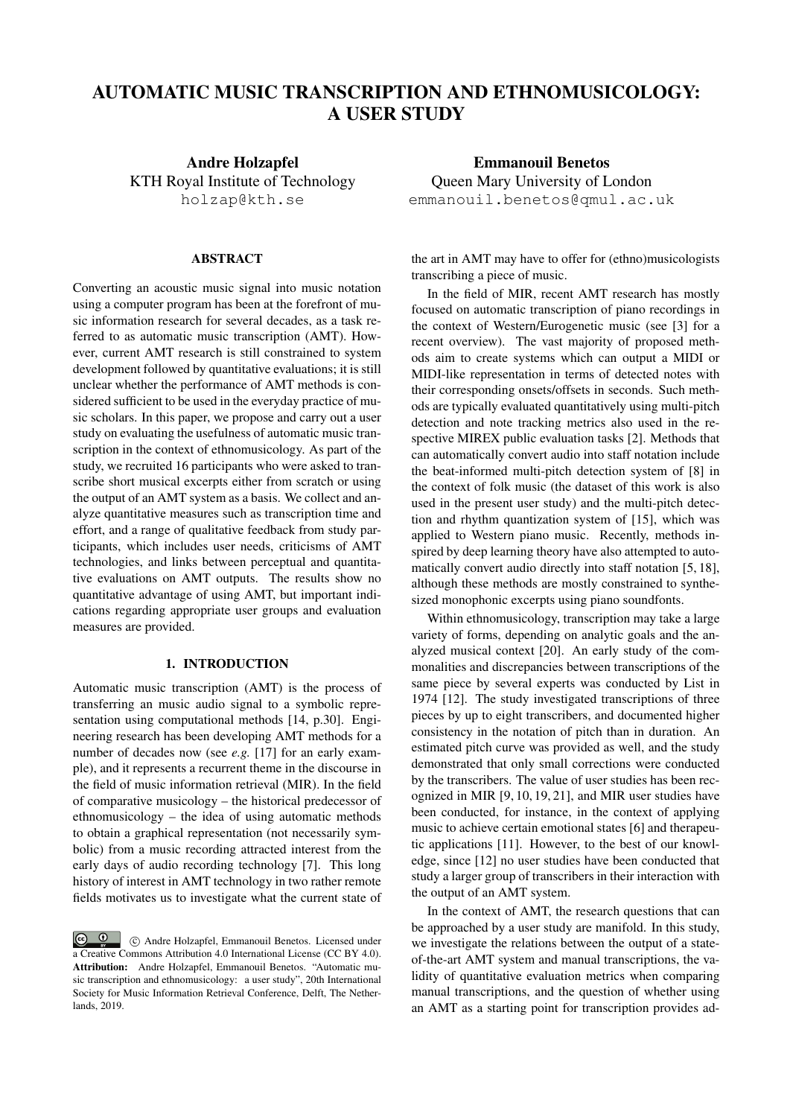# AUTOMATIC MUSIC TRANSCRIPTION AND ETHNOMUSICOLOGY: A USER STUDY

Andre Holzapfel KTH Royal Institute of Technology holzap@kth.se

## ABSTRACT

Converting an acoustic music signal into music notation using a computer program has been at the forefront of music information research for several decades, as a task referred to as automatic music transcription (AMT). However, current AMT research is still constrained to system development followed by quantitative evaluations; it is still unclear whether the performance of AMT methods is considered sufficient to be used in the everyday practice of music scholars. In this paper, we propose and carry out a user study on evaluating the usefulness of automatic music transcription in the context of ethnomusicology. As part of the study, we recruited 16 participants who were asked to transcribe short musical excerpts either from scratch or using the output of an AMT system as a basis. We collect and analyze quantitative measures such as transcription time and effort, and a range of qualitative feedback from study participants, which includes user needs, criticisms of AMT technologies, and links between perceptual and quantitative evaluations on AMT outputs. The results show no quantitative advantage of using AMT, but important indications regarding appropriate user groups and evaluation measures are provided.

# 1. INTRODUCTION

Automatic music transcription (AMT) is the process of transferring an music audio signal to a symbolic representation using computational methods [14, p.30]. Engineering research has been developing AMT methods for a number of decades now (see *e.g.* [17] for an early example), and it represents a recurrent theme in the discourse in the field of music information retrieval (MIR). In the field of comparative musicology – the historical predecessor of ethnomusicology – the idea of using automatic methods to obtain a graphical representation (not necessarily symbolic) from a music recording attracted interest from the early days of audio recording technology [7]. This long history of interest in AMT technology in two rather remote fields motivates us to investigate what the current state of

**c**  $\bullet$  **c**  $\bullet$  **c** Andre Holzapfel, Emmanouil Benetos. Licensed under a Creative Commons Attribution 4.0 International License (CC BY 4.0). Attribution: Andre Holzapfel, Emmanouil Benetos. "Automatic music transcription and ethnomusicology: a user study", 20th International Society for Music Information Retrieval Conference, Delft, The Netherlands, 2019.

Emmanouil Benetos Queen Mary University of London emmanouil.benetos@qmul.ac.uk

the art in AMT may have to offer for (ethno)musicologists transcribing a piece of music.

In the field of MIR, recent AMT research has mostly focused on automatic transcription of piano recordings in the context of Western/Eurogenetic music (see [3] for a recent overview). The vast majority of proposed methods aim to create systems which can output a MIDI or MIDI-like representation in terms of detected notes with their corresponding onsets/offsets in seconds. Such methods are typically evaluated quantitatively using multi-pitch detection and note tracking metrics also used in the respective MIREX public evaluation tasks [2]. Methods that can automatically convert audio into staff notation include the beat-informed multi-pitch detection system of [8] in the context of folk music (the dataset of this work is also used in the present user study) and the multi-pitch detection and rhythm quantization system of [15], which was applied to Western piano music. Recently, methods inspired by deep learning theory have also attempted to automatically convert audio directly into staff notation [5, 18], although these methods are mostly constrained to synthesized monophonic excerpts using piano soundfonts.

Within ethnomusicology, transcription may take a large variety of forms, depending on analytic goals and the analyzed musical context [20]. An early study of the commonalities and discrepancies between transcriptions of the same piece by several experts was conducted by List in 1974 [12]. The study investigated transcriptions of three pieces by up to eight transcribers, and documented higher consistency in the notation of pitch than in duration. An estimated pitch curve was provided as well, and the study demonstrated that only small corrections were conducted by the transcribers. The value of user studies has been recognized in MIR [9, 10, 19, 21], and MIR user studies have been conducted, for instance, in the context of applying music to achieve certain emotional states [6] and therapeutic applications [11]. However, to the best of our knowledge, since [12] no user studies have been conducted that study a larger group of transcribers in their interaction with the output of an AMT system.

In the context of AMT, the research questions that can be approached by a user study are manifold. In this study, we investigate the relations between the output of a stateof-the-art AMT system and manual transcriptions, the validity of quantitative evaluation metrics when comparing manual transcriptions, and the question of whether using an AMT as a starting point for transcription provides ad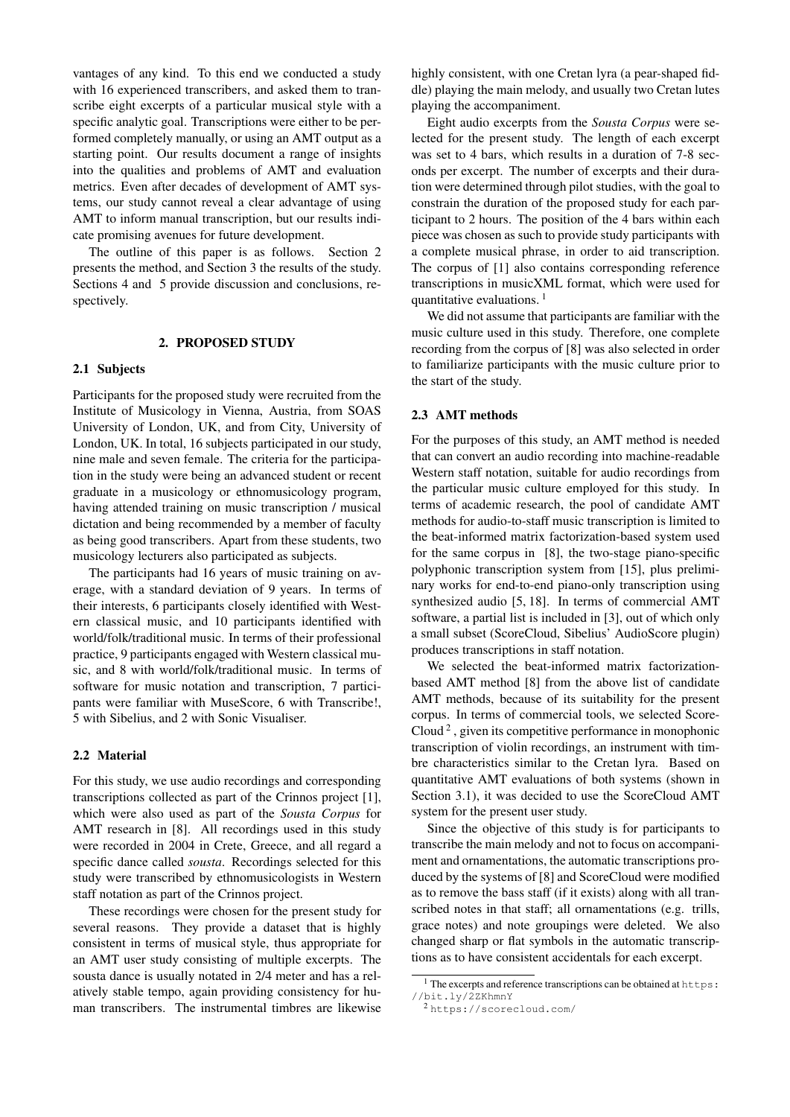vantages of any kind. To this end we conducted a study with 16 experienced transcribers, and asked them to transcribe eight excerpts of a particular musical style with a specific analytic goal. Transcriptions were either to be performed completely manually, or using an AMT output as a starting point. Our results document a range of insights into the qualities and problems of AMT and evaluation metrics. Even after decades of development of AMT systems, our study cannot reveal a clear advantage of using AMT to inform manual transcription, but our results indicate promising avenues for future development.

The outline of this paper is as follows. Section 2 presents the method, and Section 3 the results of the study. Sections 4 and 5 provide discussion and conclusions, respectively.

# 2. PROPOSED STUDY

# 2.1 Subjects

Participants for the proposed study were recruited from the Institute of Musicology in Vienna, Austria, from SOAS University of London, UK, and from City, University of London, UK. In total, 16 subjects participated in our study, nine male and seven female. The criteria for the participation in the study were being an advanced student or recent graduate in a musicology or ethnomusicology program, having attended training on music transcription / musical dictation and being recommended by a member of faculty as being good transcribers. Apart from these students, two musicology lecturers also participated as subjects.

The participants had 16 years of music training on average, with a standard deviation of 9 years. In terms of their interests, 6 participants closely identified with Western classical music, and 10 participants identified with world/folk/traditional music. In terms of their professional practice, 9 participants engaged with Western classical music, and 8 with world/folk/traditional music. In terms of software for music notation and transcription, 7 participants were familiar with MuseScore, 6 with Transcribe!, 5 with Sibelius, and 2 with Sonic Visualiser.

## 2.2 Material

For this study, we use audio recordings and corresponding transcriptions collected as part of the Crinnos project [1], which were also used as part of the *Sousta Corpus* for AMT research in [8]. All recordings used in this study were recorded in 2004 in Crete, Greece, and all regard a specific dance called *sousta*. Recordings selected for this study were transcribed by ethnomusicologists in Western staff notation as part of the Crinnos project.

These recordings were chosen for the present study for several reasons. They provide a dataset that is highly consistent in terms of musical style, thus appropriate for an AMT user study consisting of multiple excerpts. The sousta dance is usually notated in 2/4 meter and has a relatively stable tempo, again providing consistency for human transcribers. The instrumental timbres are likewise

highly consistent, with one Cretan lyra (a pear-shaped fiddle) playing the main melody, and usually two Cretan lutes playing the accompaniment.

Eight audio excerpts from the *Sousta Corpus* were selected for the present study. The length of each excerpt was set to 4 bars, which results in a duration of 7-8 seconds per excerpt. The number of excerpts and their duration were determined through pilot studies, with the goal to constrain the duration of the proposed study for each participant to 2 hours. The position of the 4 bars within each piece was chosen as such to provide study participants with a complete musical phrase, in order to aid transcription. The corpus of [1] also contains corresponding reference transcriptions in musicXML format, which were used for quantitative evaluations.  $<sup>1</sup>$ </sup>

We did not assume that participants are familiar with the music culture used in this study. Therefore, one complete recording from the corpus of [8] was also selected in order to familiarize participants with the music culture prior to the start of the study.

## 2.3 AMT methods

For the purposes of this study, an AMT method is needed that can convert an audio recording into machine-readable Western staff notation, suitable for audio recordings from the particular music culture employed for this study. In terms of academic research, the pool of candidate AMT methods for audio-to-staff music transcription is limited to the beat-informed matrix factorization-based system used for the same corpus in [8], the two-stage piano-specific polyphonic transcription system from [15], plus preliminary works for end-to-end piano-only transcription using synthesized audio [5, 18]. In terms of commercial AMT software, a partial list is included in [3], out of which only a small subset (ScoreCloud, Sibelius' AudioScore plugin) produces transcriptions in staff notation.

We selected the beat-informed matrix factorizationbased AMT method [8] from the above list of candidate AMT methods, because of its suitability for the present corpus. In terms of commercial tools, we selected Score-Cloud<sup>2</sup>, given its competitive performance in monophonic transcription of violin recordings, an instrument with timbre characteristics similar to the Cretan lyra. Based on quantitative AMT evaluations of both systems (shown in Section 3.1), it was decided to use the ScoreCloud AMT system for the present user study.

Since the objective of this study is for participants to transcribe the main melody and not to focus on accompaniment and ornamentations, the automatic transcriptions produced by the systems of [8] and ScoreCloud were modified as to remove the bass staff (if it exists) along with all transcribed notes in that staff; all ornamentations (e.g. trills, grace notes) and note groupings were deleted. We also changed sharp or flat symbols in the automatic transcriptions as to have consistent accidentals for each excerpt.

<sup>1</sup> The excerpts and reference transcriptions can be obtained at https: //bit.ly/2ZKhmnY

<sup>2</sup> https://scorecloud.com/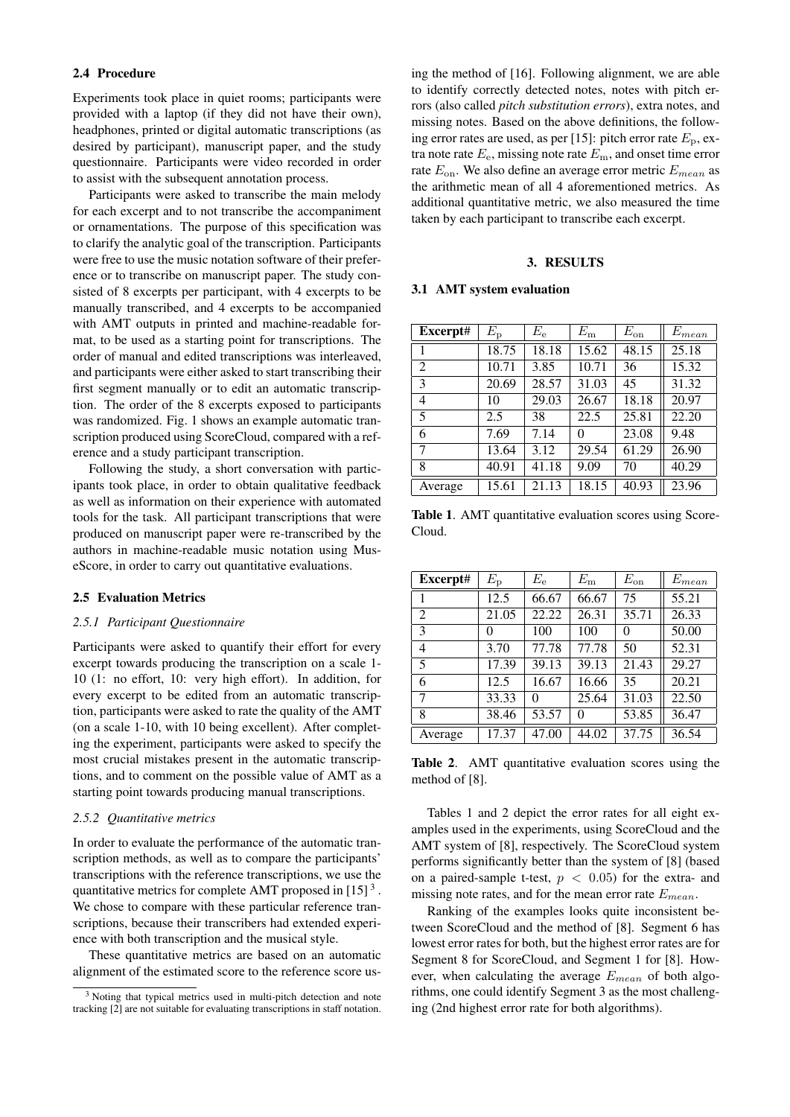#### 2.4 Procedure

Experiments took place in quiet rooms; participants were provided with a laptop (if they did not have their own), headphones, printed or digital automatic transcriptions (as desired by participant), manuscript paper, and the study questionnaire. Participants were video recorded in order to assist with the subsequent annotation process.

Participants were asked to transcribe the main melody for each excerpt and to not transcribe the accompaniment or ornamentations. The purpose of this specification was to clarify the analytic goal of the transcription. Participants were free to use the music notation software of their preference or to transcribe on manuscript paper. The study consisted of 8 excerpts per participant, with 4 excerpts to be manually transcribed, and 4 excerpts to be accompanied with AMT outputs in printed and machine-readable format, to be used as a starting point for transcriptions. The order of manual and edited transcriptions was interleaved, and participants were either asked to start transcribing their first segment manually or to edit an automatic transcription. The order of the 8 excerpts exposed to participants was randomized. Fig. 1 shows an example automatic transcription produced using ScoreCloud, compared with a reference and a study participant transcription.

Following the study, a short conversation with participants took place, in order to obtain qualitative feedback as well as information on their experience with automated tools for the task. All participant transcriptions that were produced on manuscript paper were re-transcribed by the authors in machine-readable music notation using MuseScore, in order to carry out quantitative evaluations.

#### 2.5 Evaluation Metrics

## *2.5.1 Participant Questionnaire*

Participants were asked to quantify their effort for every excerpt towards producing the transcription on a scale 1- 10 (1: no effort, 10: very high effort). In addition, for every excerpt to be edited from an automatic transcription, participants were asked to rate the quality of the AMT (on a scale 1-10, with 10 being excellent). After completing the experiment, participants were asked to specify the most crucial mistakes present in the automatic transcriptions, and to comment on the possible value of AMT as a starting point towards producing manual transcriptions.

# *2.5.2 Quantitative metrics*

In order to evaluate the performance of the automatic transcription methods, as well as to compare the participants' transcriptions with the reference transcriptions, we use the quantitative metrics for complete AMT proposed in  $[15]$ <sup>3</sup>. We chose to compare with these particular reference transcriptions, because their transcribers had extended experience with both transcription and the musical style.

These quantitative metrics are based on an automatic alignment of the estimated score to the reference score using the method of [16]. Following alignment, we are able to identify correctly detected notes, notes with pitch errors (also called *pitch substitution errors*), extra notes, and missing notes. Based on the above definitions, the following error rates are used, as per [15]: pitch error rate  $E_p$ , extra note rate  $E_e$ , missing note rate  $E_m$ , and onset time error rate  $E_{\text{on}}$ . We also define an average error metric  $E_{mean}$  as the arithmetic mean of all 4 aforementioned metrics. As additional quantitative metric, we also measured the time taken by each participant to transcribe each excerpt.

#### 3. RESULTS

## 3.1 AMT system evaluation

| Excerpt# | $E_{\rm p}$ | $E_{\rm e}$ | $E_{\rm m}$ | $E_{\rm on}$ | $E_{\it mean}$ |
|----------|-------------|-------------|-------------|--------------|----------------|
| 1        | 18.75       | 18.18       | 15.62       | 48.15        | 25.18          |
| 2        | 10.71       | 3.85        | 10.71       | 36           | 15.32          |
| 3        | 20.69       | 28.57       | 31.03       | 45           | 31.32          |
| 4        | 10          | 29.03       | 26.67       | 18.18        | 20.97          |
| 5        | 2.5         | 38          | 22.5        | 25.81        | 22.20          |
| 6        | 7.69        | 7.14        | 0           | 23.08        | 9.48           |
| 7        | 13.64       | 3.12        | 29.54       | 61.29        | 26.90          |
| 8        | 40.91       | 41.18       | 9.09        | 70           | 40.29          |
| Average  | 15.61       | 21.13       | 18.15       | 40.93        | 23.96          |

Table 1. AMT quantitative evaluation scores using Score-Cloud.

| Excerpt#      | $E_{\rm p}$ | $E_{\rm e}$ | $E_{\rm m}$ | $E_{\rm on}$ | $E_{mean}$ |
|---------------|-------------|-------------|-------------|--------------|------------|
|               | 12.5        | 66.67       | 66.67       | 75           | 55.21      |
| 2             | 21.05       | 22.22       | 26.31       | 35.71        | 26.33      |
| $\mathcal{E}$ | 0           | 100         | 100         | 0            | 50.00      |
| 4             | 3.70        | 77.78       | 77.78       | 50           | 52.31      |
| 5             | 17.39       | 39.13       | 39.13       | 21.43        | 29.27      |
| 6             | 12.5        | 16.67       | 16.66       | 35           | 20.21      |
| 7             | 33.33       | 0           | 25.64       | 31.03        | 22.50      |
| 8             | 38.46       | 53.57       | 0           | 53.85        | 36.47      |
| Average       | 17.37       | 47.00       | 44.02       | 37.75        | 36.54      |

Table 2. AMT quantitative evaluation scores using the method of [8].

Tables 1 and 2 depict the error rates for all eight examples used in the experiments, using ScoreCloud and the AMT system of [8], respectively. The ScoreCloud system performs significantly better than the system of [8] (based on a paired-sample t-test,  $p < 0.05$ ) for the extra- and missing note rates, and for the mean error rate  $E_{mean}$ .

Ranking of the examples looks quite inconsistent between ScoreCloud and the method of [8]. Segment 6 has lowest error rates for both, but the highest error rates are for Segment 8 for ScoreCloud, and Segment 1 for [8]. However, when calculating the average  $E_{mean}$  of both algorithms, one could identify Segment 3 as the most challenging (2nd highest error rate for both algorithms).

<sup>&</sup>lt;sup>3</sup> Noting that typical metrics used in multi-pitch detection and note tracking [2] are not suitable for evaluating transcriptions in staff notation.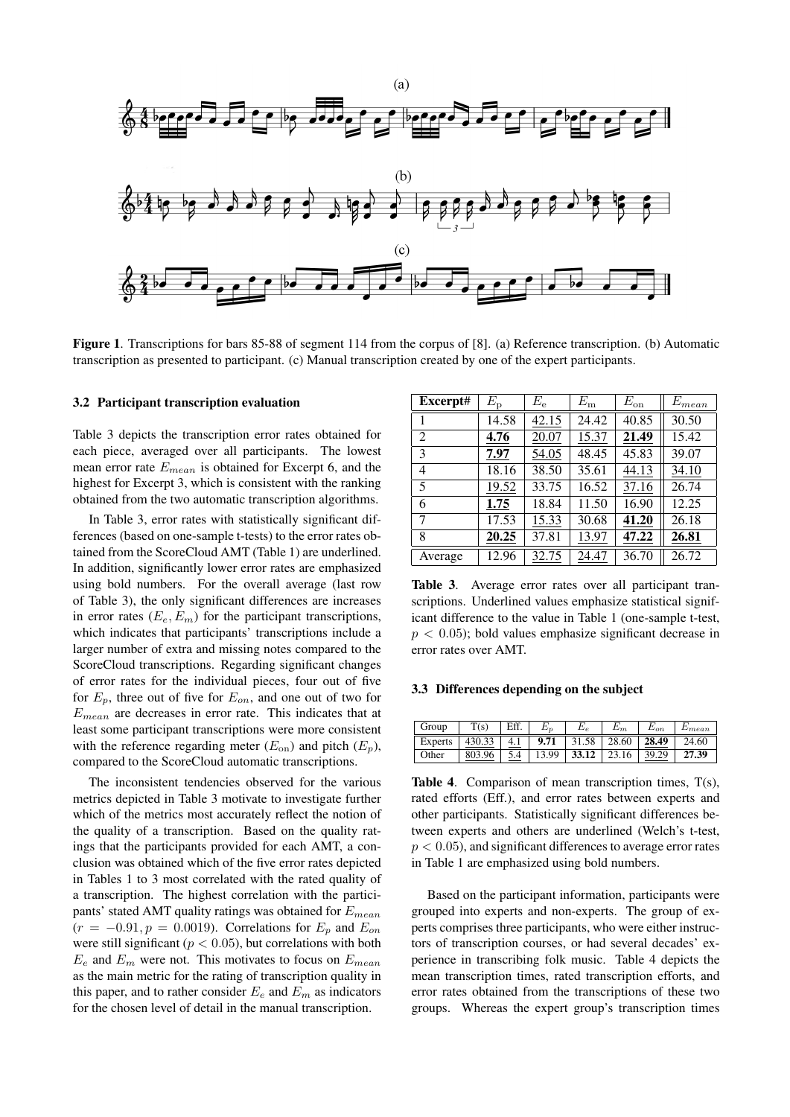

Figure 1. Transcriptions for bars 85-88 of segment 114 from the corpus of [8]. (a) Reference transcription. (b) Automatic transcription as presented to participant. (c) Manual transcription created by one of the expert participants.

#### 3.2 Participant transcription evaluation

Table 3 depicts the transcription error rates obtained for each piece, averaged over all participants. The lowest mean error rate  $E_{mean}$  is obtained for Excerpt 6, and the highest for Excerpt 3, which is consistent with the ranking obtained from the two automatic transcription algorithms.

In Table 3, error rates with statistically significant differences (based on one-sample t-tests) to the error rates obtained from the ScoreCloud AMT (Table 1) are underlined. In addition, significantly lower error rates are emphasized using bold numbers. For the overall average (last row of Table 3), the only significant differences are increases in error rates  $(E_e, E_m)$  for the participant transcriptions, which indicates that participants' transcriptions include a larger number of extra and missing notes compared to the ScoreCloud transcriptions. Regarding significant changes of error rates for the individual pieces, four out of five for  $E_p$ , three out of five for  $E_{on}$ , and one out of two for  $E_{mean}$  are decreases in error rate. This indicates that at least some participant transcriptions were more consistent with the reference regarding meter  $(E_{on})$  and pitch  $(E_p)$ , compared to the ScoreCloud automatic transcriptions.

The inconsistent tendencies observed for the various metrics depicted in Table 3 motivate to investigate further which of the metrics most accurately reflect the notion of the quality of a transcription. Based on the quality ratings that the participants provided for each AMT, a conclusion was obtained which of the five error rates depicted in Tables 1 to 3 most correlated with the rated quality of a transcription. The highest correlation with the participants' stated AMT quality ratings was obtained for  $E_{mean}$  $(r = -0.91, p = 0.0019)$ . Correlations for  $E_p$  and  $E_{on}$ were still significant ( $p < 0.05$ ), but correlations with both  $E_e$  and  $E_m$  were not. This motivates to focus on  $E_{mean}$ as the main metric for the rating of transcription quality in this paper, and to rather consider  $E_e$  and  $E_m$  as indicators for the chosen level of detail in the manual transcription.

| Excerpt# | $E_{\rm p}$ | $E_{\rm e}$<br>$E_{\rm m}$ |       | $E_{\rm on}$ | $E_{mean}$ |
|----------|-------------|----------------------------|-------|--------------|------------|
|          | 14.58       | 42.15                      | 24.42 | 40.85        | 30.50      |
| 2        | 4.76        | 20.07                      | 15.37 | 21.49        | 15.42      |
| 3        | 7.97        | 54.05                      | 48.45 | 45.83        | 39.07      |
| 4        | 18.16       | 38.50                      | 35.61 | 44.13        | 34.10      |
| 5        | 19.52       | 33.75                      | 16.52 | 37.16        | 26.74      |
| 6        | 1.75        | 18.84                      | 11.50 | 16.90        | 12.25      |
| 7        | 17.53       | 15.33                      | 30.68 | 41.20        | 26.18      |
| 8        | 20.25       | 37.81                      | 13.97 | 47.22        | 26.81      |
| Average  | 12.96       | 32.75                      | 24.47 | 36.70        | 26.72      |

Table 3. Average error rates over all participant transcriptions. Underlined values emphasize statistical significant difference to the value in Table 1 (one-sample t-test,  $p < 0.05$ ); bold values emphasize significant decrease in error rates over AMT.

#### 3.3 Differences depending on the subject

| Group          | T(s)   | Eff. |       | $E_e\,$ | $E_m$ | $E_{on}$ | $E_{mean}$ |
|----------------|--------|------|-------|---------|-------|----------|------------|
| <b>Experts</b> | 430.33 | 4.1  | 9.71  | 31.58   | 28.60 | 28.49    | 24.60      |
| Other          | 803.96 |      | 13.99 | 33.12   | 23.16 | 39.29    | 27.39      |

Table 4. Comparison of mean transcription times,  $T(s)$ , rated efforts (Eff.), and error rates between experts and other participants. Statistically significant differences between experts and others are underlined (Welch's t-test,  $p < 0.05$ ), and significant differences to average error rates in Table 1 are emphasized using bold numbers.

Based on the participant information, participants were grouped into experts and non-experts. The group of experts comprises three participants, who were either instructors of transcription courses, or had several decades' experience in transcribing folk music. Table 4 depicts the mean transcription times, rated transcription efforts, and error rates obtained from the transcriptions of these two groups. Whereas the expert group's transcription times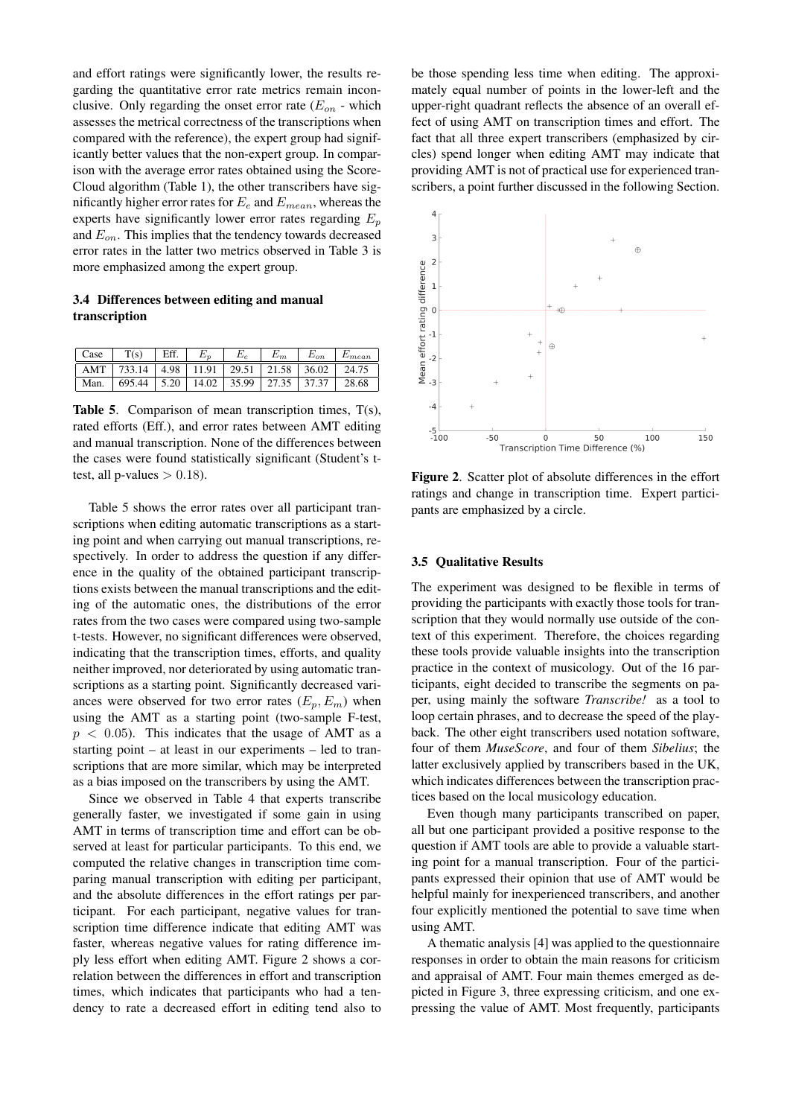and effort ratings were significantly lower, the results regarding the quantitative error rate metrics remain inconclusive. Only regarding the onset error rate  $(E_{on}$  - which assesses the metrical correctness of the transcriptions when compared with the reference), the expert group had significantly better values that the non-expert group. In comparison with the average error rates obtained using the Score-Cloud algorithm (Table 1), the other transcribers have significantly higher error rates for  $E_e$  and  $E_{mean}$ , whereas the experts have significantly lower error rates regarding  $E_p$ and  $E_{on}$ . This implies that the tendency towards decreased error rates in the latter two metrics observed in Table 3 is more emphasized among the expert group.

# 3.4 Differences between editing and manual transcription

| Case | T(s)                                  | Eff. |       |       |       | $E_{on}$ | $E_{mean}$ |
|------|---------------------------------------|------|-------|-------|-------|----------|------------|
| AMT  | 733.14   4.98   11.91   29.51   21.58 |      |       |       |       | 36.02    | 24.75      |
| Man. | 695.44                                | 5.20 | 14.02 | 35.99 | 27.35 | 37.37    | 28.68      |

Table 5. Comparison of mean transcription times, T(s), rated efforts (Eff.), and error rates between AMT editing and manual transcription. None of the differences between the cases were found statistically significant (Student's ttest, all p-values  $> 0.18$ ).

Table 5 shows the error rates over all participant transcriptions when editing automatic transcriptions as a starting point and when carrying out manual transcriptions, respectively. In order to address the question if any difference in the quality of the obtained participant transcriptions exists between the manual transcriptions and the editing of the automatic ones, the distributions of the error rates from the two cases were compared using two-sample t-tests. However, no significant differences were observed, indicating that the transcription times, efforts, and quality neither improved, nor deteriorated by using automatic transcriptions as a starting point. Significantly decreased variances were observed for two error rates  $(E_p, E_m)$  when using the AMT as a starting point (two-sample F-test,  $p < 0.05$ ). This indicates that the usage of AMT as a starting point – at least in our experiments – led to transcriptions that are more similar, which may be interpreted as a bias imposed on the transcribers by using the AMT.

Since we observed in Table 4 that experts transcribe generally faster, we investigated if some gain in using AMT in terms of transcription time and effort can be observed at least for particular participants. To this end, we computed the relative changes in transcription time comparing manual transcription with editing per participant, and the absolute differences in the effort ratings per participant. For each participant, negative values for transcription time difference indicate that editing AMT was faster, whereas negative values for rating difference imply less effort when editing AMT. Figure 2 shows a correlation between the differences in effort and transcription times, which indicates that participants who had a tendency to rate a decreased effort in editing tend also to be those spending less time when editing. The approximately equal number of points in the lower-left and the upper-right quadrant reflects the absence of an overall effect of using AMT on transcription times and effort. The fact that all three expert transcribers (emphasized by circles) spend longer when editing AMT may indicate that providing AMT is not of practical use for experienced transcribers, a point further discussed in the following Section.



Figure 2. Scatter plot of absolute differences in the effort ratings and change in transcription time. Expert participants are emphasized by a circle.

#### 3.5 Qualitative Results

The experiment was designed to be flexible in terms of providing the participants with exactly those tools for transcription that they would normally use outside of the context of this experiment. Therefore, the choices regarding these tools provide valuable insights into the transcription practice in the context of musicology. Out of the 16 participants, eight decided to transcribe the segments on paper, using mainly the software *Transcribe!* as a tool to loop certain phrases, and to decrease the speed of the playback. The other eight transcribers used notation software, four of them *MuseScore*, and four of them *Sibelius*; the latter exclusively applied by transcribers based in the UK, which indicates differences between the transcription practices based on the local musicology education.

Even though many participants transcribed on paper, all but one participant provided a positive response to the question if AMT tools are able to provide a valuable starting point for a manual transcription. Four of the participants expressed their opinion that use of AMT would be helpful mainly for inexperienced transcribers, and another four explicitly mentioned the potential to save time when using AMT.

A thematic analysis [4] was applied to the questionnaire responses in order to obtain the main reasons for criticism and appraisal of AMT. Four main themes emerged as depicted in Figure 3, three expressing criticism, and one expressing the value of AMT. Most frequently, participants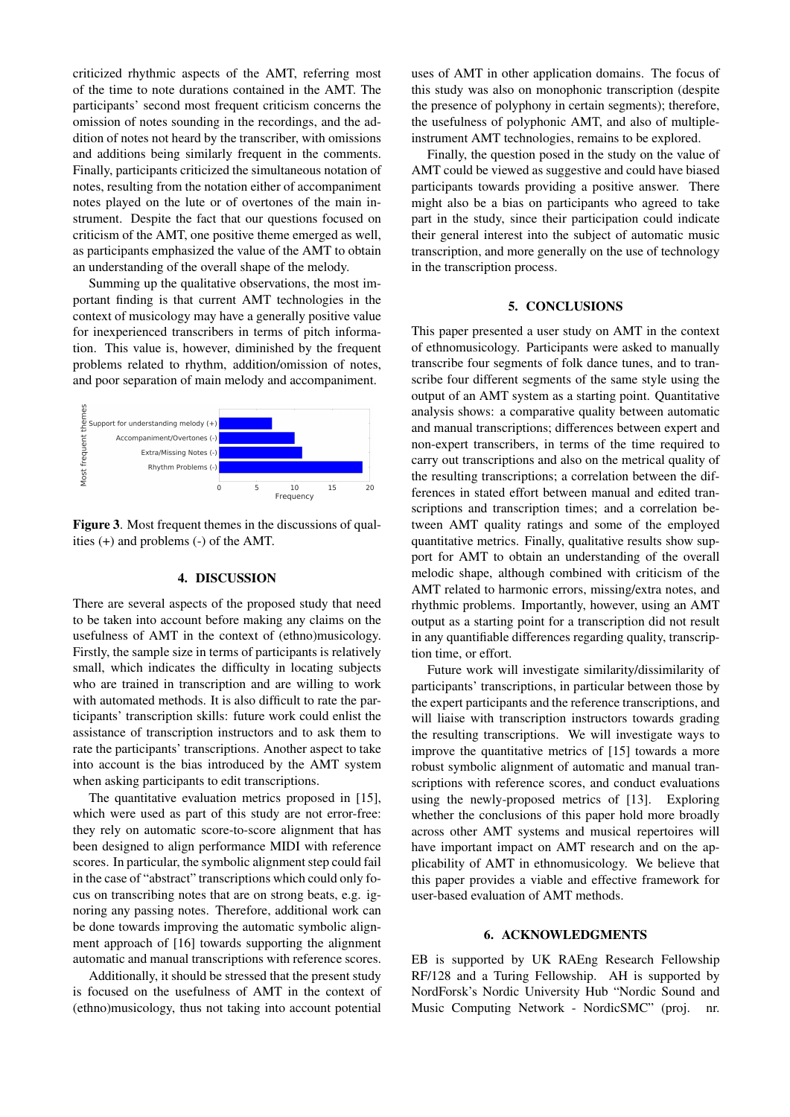criticized rhythmic aspects of the AMT, referring most of the time to note durations contained in the AMT. The participants' second most frequent criticism concerns the omission of notes sounding in the recordings, and the addition of notes not heard by the transcriber, with omissions and additions being similarly frequent in the comments. Finally, participants criticized the simultaneous notation of notes, resulting from the notation either of accompaniment notes played on the lute or of overtones of the main instrument. Despite the fact that our questions focused on criticism of the AMT, one positive theme emerged as well, as participants emphasized the value of the AMT to obtain an understanding of the overall shape of the melody.

Summing up the qualitative observations, the most important finding is that current AMT technologies in the context of musicology may have a generally positive value for inexperienced transcribers in terms of pitch information. This value is, however, diminished by the frequent problems related to rhythm, addition/omission of notes, and poor separation of main melody and accompaniment.



Figure 3. Most frequent themes in the discussions of qualities (+) and problems (-) of the AMT.

# 4. DISCUSSION

There are several aspects of the proposed study that need to be taken into account before making any claims on the usefulness of AMT in the context of (ethno)musicology. Firstly, the sample size in terms of participants is relatively small, which indicates the difficulty in locating subjects who are trained in transcription and are willing to work with automated methods. It is also difficult to rate the participants' transcription skills: future work could enlist the assistance of transcription instructors and to ask them to rate the participants' transcriptions. Another aspect to take into account is the bias introduced by the AMT system when asking participants to edit transcriptions.

The quantitative evaluation metrics proposed in [15], which were used as part of this study are not error-free: they rely on automatic score-to-score alignment that has been designed to align performance MIDI with reference scores. In particular, the symbolic alignment step could fail in the case of "abstract" transcriptions which could only focus on transcribing notes that are on strong beats, e.g. ignoring any passing notes. Therefore, additional work can be done towards improving the automatic symbolic alignment approach of [16] towards supporting the alignment automatic and manual transcriptions with reference scores.

Additionally, it should be stressed that the present study is focused on the usefulness of AMT in the context of (ethno)musicology, thus not taking into account potential uses of AMT in other application domains. The focus of this study was also on monophonic transcription (despite the presence of polyphony in certain segments); therefore, the usefulness of polyphonic AMT, and also of multipleinstrument AMT technologies, remains to be explored.

Finally, the question posed in the study on the value of AMT could be viewed as suggestive and could have biased participants towards providing a positive answer. There might also be a bias on participants who agreed to take part in the study, since their participation could indicate their general interest into the subject of automatic music transcription, and more generally on the use of technology in the transcription process.

#### 5. CONCLUSIONS

This paper presented a user study on AMT in the context of ethnomusicology. Participants were asked to manually transcribe four segments of folk dance tunes, and to transcribe four different segments of the same style using the output of an AMT system as a starting point. Quantitative analysis shows: a comparative quality between automatic and manual transcriptions; differences between expert and non-expert transcribers, in terms of the time required to carry out transcriptions and also on the metrical quality of the resulting transcriptions; a correlation between the differences in stated effort between manual and edited transcriptions and transcription times; and a correlation between AMT quality ratings and some of the employed quantitative metrics. Finally, qualitative results show support for AMT to obtain an understanding of the overall melodic shape, although combined with criticism of the AMT related to harmonic errors, missing/extra notes, and rhythmic problems. Importantly, however, using an AMT output as a starting point for a transcription did not result in any quantifiable differences regarding quality, transcription time, or effort.

Future work will investigate similarity/dissimilarity of participants' transcriptions, in particular between those by the expert participants and the reference transcriptions, and will liaise with transcription instructors towards grading the resulting transcriptions. We will investigate ways to improve the quantitative metrics of [15] towards a more robust symbolic alignment of automatic and manual transcriptions with reference scores, and conduct evaluations using the newly-proposed metrics of [13]. Exploring whether the conclusions of this paper hold more broadly across other AMT systems and musical repertoires will have important impact on AMT research and on the applicability of AMT in ethnomusicology. We believe that this paper provides a viable and effective framework for user-based evaluation of AMT methods.

# 6. ACKNOWLEDGMENTS

EB is supported by UK RAEng Research Fellowship RF/128 and a Turing Fellowship. AH is supported by NordForsk's Nordic University Hub "Nordic Sound and Music Computing Network - NordicSMC" (proj.